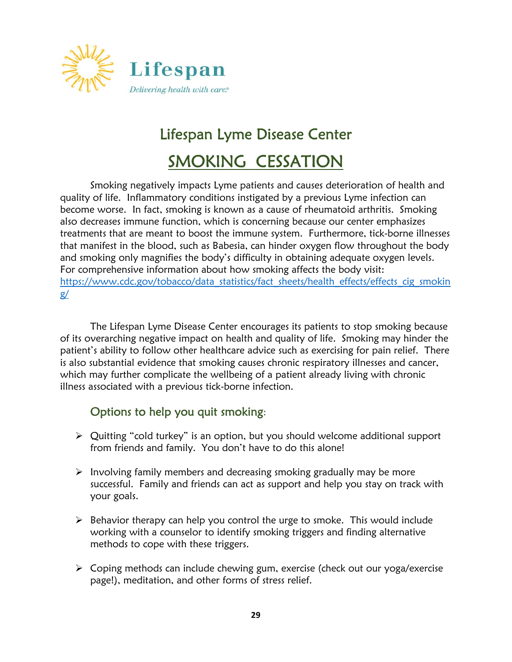

## Lifespan Lyme Disease Center

## SMOKING CESSATION

Smoking negatively impacts Lyme patients and causes deterioration of health and quality of life. Inflammatory conditions instigated by a previous Lyme infection can become worse. In fact, smoking is known as a cause of rheumatoid arthritis. Smoking also decreases immune function, which is concerning because our center emphasizes treatments that are meant to boost the immune system. Furthermore, tick-borne illnesses that manifest in the blood, such as Babesia, can hinder oxygen flow throughout the body and smoking only magnifies the body's difficulty in obtaining adequate oxygen levels. For comprehensive information about how smoking affects the body visit: https://www.cdc.gov/tobacco/data\_statistics/fact\_sheets/health\_effects/effects\_cig\_smokin g/

The Lifespan Lyme Disease Center encourages its patients to stop smoking because of its overarching negative impact on health and quality of life. Smoking may hinder the patient's ability to follow other healthcare advice such as exercising for pain relief. There is also substantial evidence that smoking causes chronic respiratory illnesses and cancer, which may further complicate the wellbeing of a patient already living with chronic illness associated with a previous tick-borne infection.

## Options to help you quit smoking:

- Quitting "cold turkey" is an option, but you should welcome additional support from friends and family. You don't have to do this alone!
- $\triangleright$  Involving family members and decreasing smoking gradually may be more successful. Family and friends can act as support and help you stay on track with your goals.
- $\triangleright$  Behavior therapy can help you control the urge to smoke. This would include working with a counselor to identify smoking triggers and finding alternative methods to cope with these triggers.
- Coping methods can include chewing gum, exercise (check out our yoga/exercise page!), meditation, and other forms of stress relief.